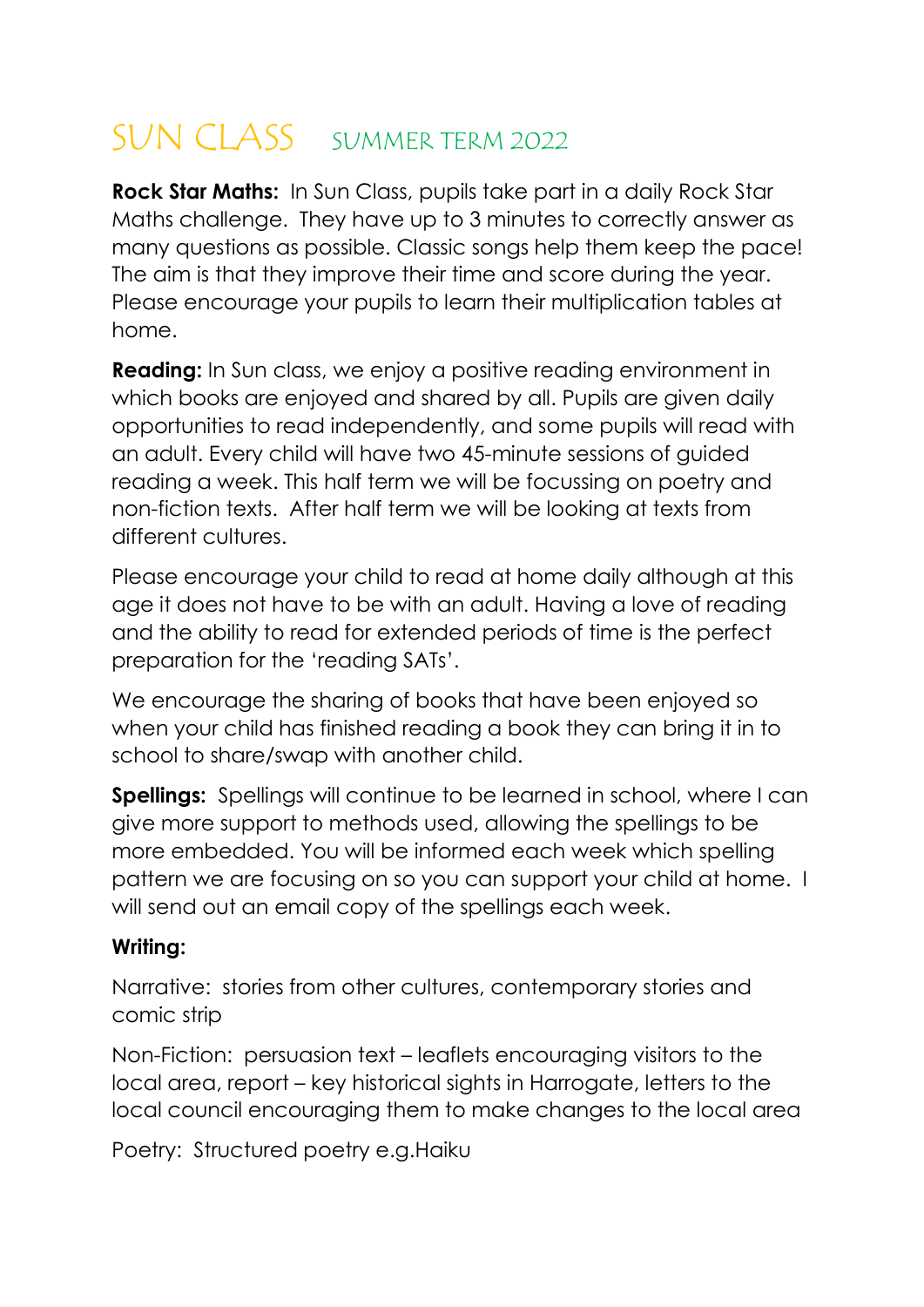# SUN CLASS SUMMER TERM 2022

Rock Star Maths: In Sun Class, pupils take part in a daily Rock Star Maths challenge. They have up to 3 minutes to correctly answer as many questions as possible. Classic songs help them keep the pace! The aim is that they improve their time and score during the year. Please encourage your pupils to learn their multiplication tables at home.

**Reading:** In Sun class, we enjoy a positive reading environment in which books are enjoyed and shared by all. Pupils are given daily opportunities to read independently, and some pupils will read with an adult. Every child will have two 45-minute sessions of guided reading a week. This half term we will be focussing on poetry and non-fiction texts. After half term we will be looking at texts from different cultures.

Please encourage your child to read at home daily although at this age it does not have to be with an adult. Having a love of reading and the ability to read for extended periods of time is the perfect preparation for the 'reading SATs'.

We encourage the sharing of books that have been enjoyed so when your child has finished reading a book they can bring it in to school to share/swap with another child.

Spellings: Spellings will continue to be learned in school, where I can give more support to methods used, allowing the spellings to be more embedded. You will be informed each week which spelling pattern we are focusing on so you can support your child at home. I will send out an email copy of the spellings each week.

#### Writing:

Narrative: stories from other cultures, contemporary stories and comic strip

Non-Fiction: persuasion text – leaflets encouraging visitors to the local area, report – key historical sights in Harrogate, letters to the local council encouraging them to make changes to the local area

Poetry: Structured poetry e.g.Haiku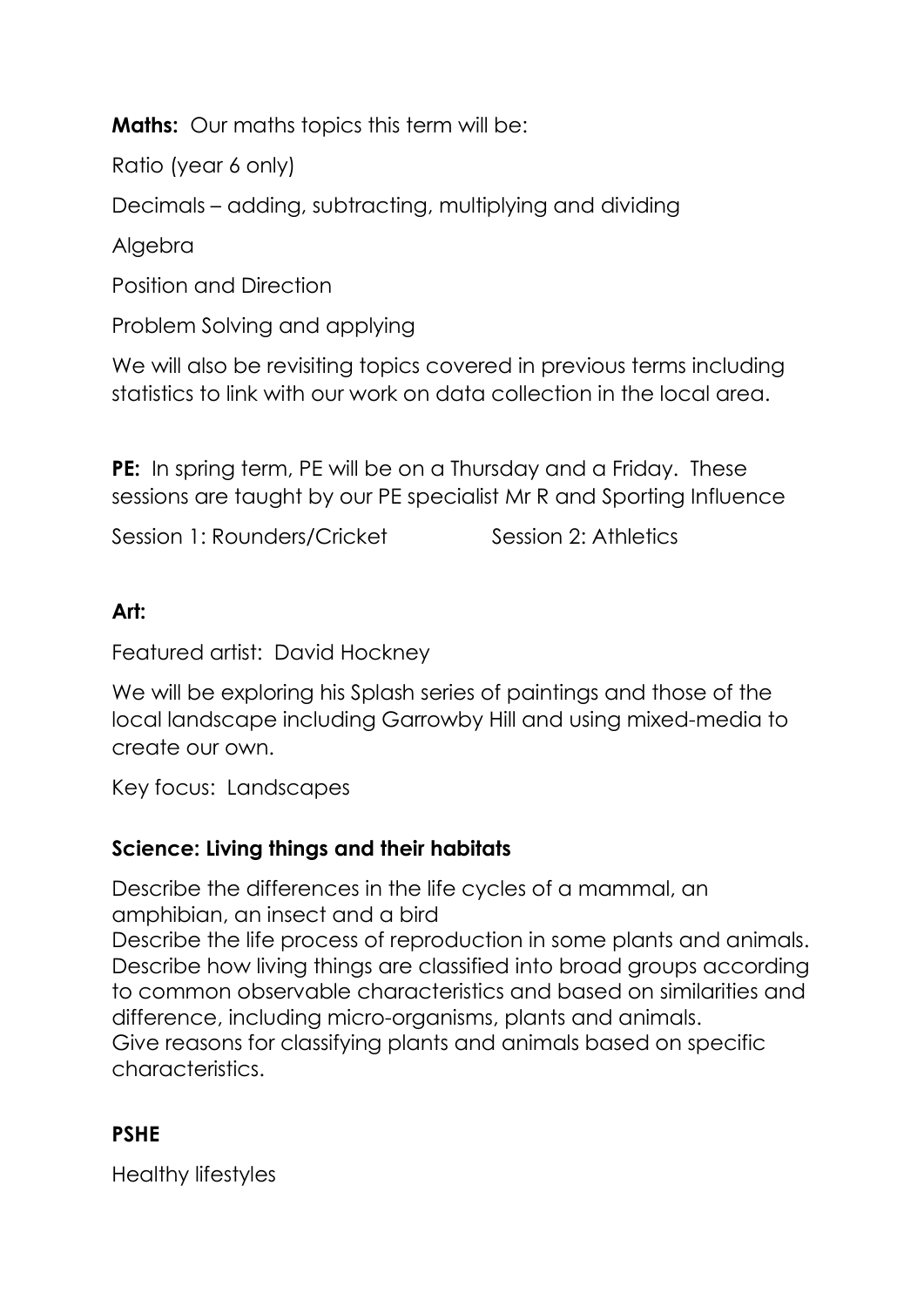**Maths:** Our maths topics this term will be:

Ratio (year 6 only)

Decimals – adding, subtracting, multiplying and dividing

Algebra

Position and Direction

Problem Solving and applying

We will also be revisiting topics covered in previous terms including statistics to link with our work on data collection in the local area.

**PE:** In spring term, PE will be on a Thursday and a Friday. These sessions are taught by our PE specialist Mr R and Sporting Influence

Session 1: Rounders/Cricket Session 2: Athletics

### Art:

Featured artist: David Hockney

We will be exploring his Splash series of paintings and those of the local landscape including Garrowby Hill and using mixed-media to create our own.

Key focus: Landscapes

## Science: Living things and their habitats

Describe the differences in the life cycles of a mammal, an amphibian, an insect and a bird Describe the life process of reproduction in some plants and animals. Describe how living things are classified into broad groups according to common observable characteristics and based on similarities and difference, including micro-organisms, plants and animals. Give reasons for classifying plants and animals based on specific characteristics.

## PSHE

Healthy lifestyles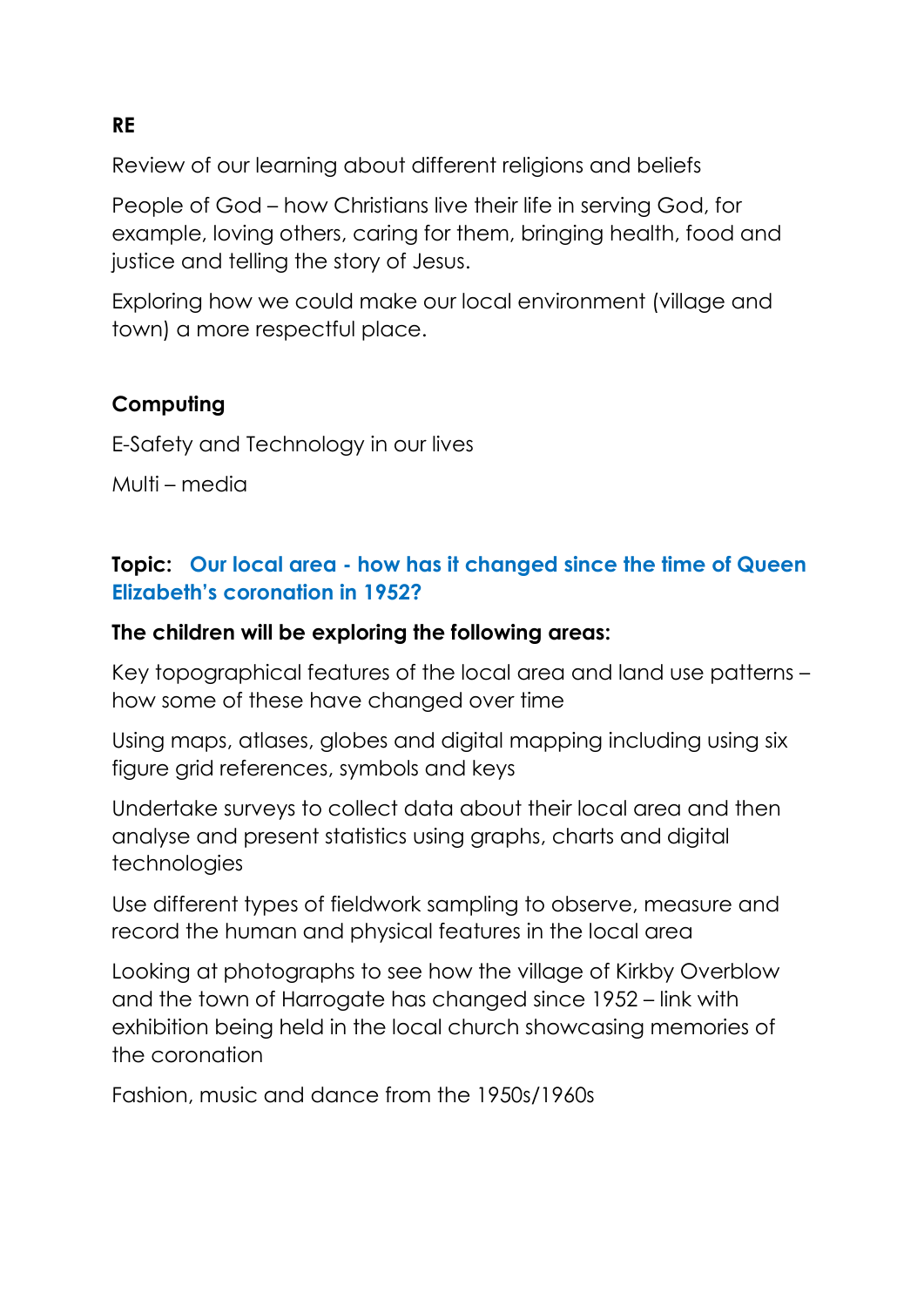Review of our learning about different religions and beliefs

People of God – how Christians live their life in serving God, for example, loving others, caring for them, bringing health, food and justice and telling the story of Jesus.

Exploring how we could make our local environment (village and town) a more respectful place.

## Computing

E-Safety and Technology in our lives

Multi – media

#### Topic: Our local area - how has it changed since the time of Queen Elizabeth's coronation in 1952?

#### The children will be exploring the following areas:

Key topographical features of the local area and land use patterns – how some of these have changed over time

Using maps, atlases, globes and digital mapping including using six figure grid references, symbols and keys

Undertake surveys to collect data about their local area and then analyse and present statistics using graphs, charts and digital technologies

Use different types of fieldwork sampling to observe, measure and record the human and physical features in the local area

Looking at photographs to see how the village of Kirkby Overblow and the town of Harrogate has changed since 1952 – link with exhibition being held in the local church showcasing memories of the coronation

Fashion, music and dance from the 1950s/1960s

#### RE